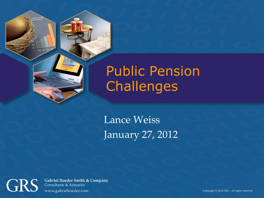### Public Pension **Challenges**

Lance Weiss January 27, 2012

**GRS** 

00:01 02

**Gabriel Roeder Smith & Company Consultants & Actuaries** www.gabrielroeder.com

Copyright © 2012 GRS – All rights reserved.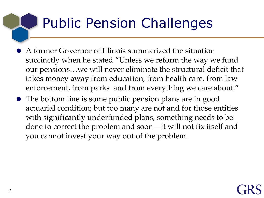### Public Pension Challenges

- A former Governor of Illinois summarized the situation succinctly when he stated "Unless we reform the way we fund our pensions…we will never eliminate the structural deficit that takes money away from education, from health care, from law enforcement, from parks and from everything we care about."
- The bottom line is some public pension plans are in good actuarial condition; but too many are not and for those entities with significantly underfunded plans, something needs to be done to correct the problem and soon—it will not fix itself and you cannot invest your way out of the problem.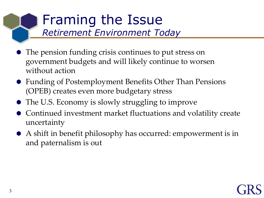# Framing the Issue

*Retirement Environment Today*

- The pension funding crisis continues to put stress on government budgets and will likely continue to worsen without action
- Funding of Postemployment Benefits Other Than Pensions (OPEB) creates even more budgetary stress
- The U.S. Economy is slowly struggling to improve
- Continued investment market fluctuations and volatility create uncertainty
- A shift in benefit philosophy has occurred: empowerment is in and paternalism is out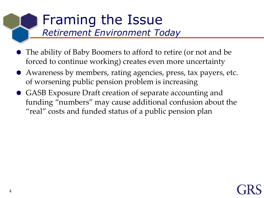## Framing the Issue

*Retirement Environment Today*

- The ability of Baby Boomers to afford to retire (or not and be forced to continue working) creates even more uncertainty
- Awareness by members, rating agencies, press, tax payers, etc. of worsening public pension problem is increasing
- GASB Exposure Draft creation of separate accounting and funding "numbers" may cause additional confusion about the "real" costs and funded status of a public pension plan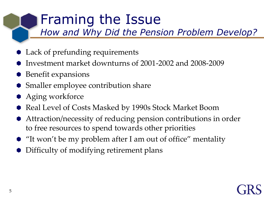### Framing the Issue

*How and Why Did the Pension Problem Develop?* 

- Lack of prefunding requirements
- Investment market downturns of 2001-2002 and 2008-2009
- $\bullet$  Benefit expansions
- Smaller employee contribution share
- **Aging workforce**
- Real Level of Costs Masked by 1990s Stock Market Boom
- Attraction/necessity of reducing pension contributions in order to free resources to spend towards other priorities
- "It won't be my problem after I am out of office" mentality
- Difficulty of modifying retirement plans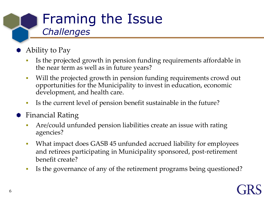### Framing the Issue *Challenges*

- Ability to Pay
	- Is the projected growth in pension funding requirements affordable in the near term as well as in future years?
	- Will the projected growth in pension funding requirements crowd out opportunities for the Municipality to invest in education, economic development, and health care.
	- Is the current level of pension benefit sustainable in the future?
- Financial Rating
	- Are/could unfunded pension liabilities create an issue with rating agencies?
	- What impact does GASB 45 unfunded accrued liability for employees and retirees participating in Municipality sponsored, post-retirement benefit create?
	- Is the governance of any of the retirement programs being questioned?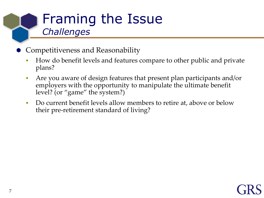### Framing the Issue *Challenges*

- Competitiveness and Reasonability
	- How do benefit levels and features compare to other public and private plans?
	- Are you aware of design features that present plan participants and/or employers with the opportunity to manipulate the ultimate benefit level? (or "game" the system?)
	- Do current benefit levels allow members to retire at, above or below their pre-retirement standard of living?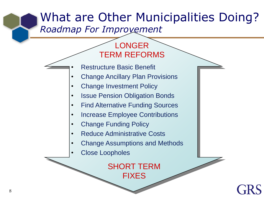#### What are Other Municipalities Doing? *Roadmap For Improvement*

#### LONGER TERM REFORMS

- Restructure Basic Benefit
- Change Ancillary Plan Provisions
- Change Investment Policy
- Issue Pension Obligation Bonds
- Find Alternative Funding Sources
- Increase Employee Contributions
- Change Funding Policy
- Reduce Administrative Costs
- Change Assumptions and Methods
- Close Loopholes

SHORT TERM FIXES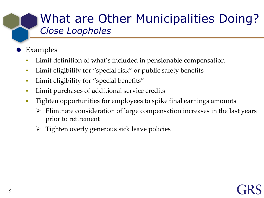#### What are Other Municipalities Doing? *Close Loopholes*

- Examples
	- Limit definition of what's included in pensionable compensation
	- Limit eligibility for "special risk" or public safety benefits
	- Limit eligibility for "special benefits"
	- **Limit purchases of additional service credits**
	- Tighten opportunities for employees to spike final earnings amounts
		- Eliminate consideration of large compensation increases in the last years prior to retirement
		- $\triangleright$  Tighten overly generous sick leave policies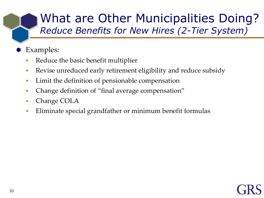#### What are Other Municipalities Doing? *Reduce Benefits for New Hires (2-Tier System)*

- Examples:
	- Reduce the basic benefit multiplier
	- Revise unreduced early retirement eligibility and reduce subsidy
	- **Limit the definition of pensionable compensation**
	- Change definition of "final average compensation"
	- **Change COLA**
	- Eliminate special grandfather or minimum benefit formulas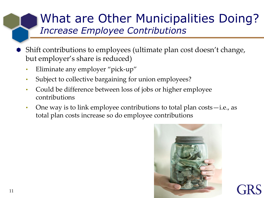#### What are Other Municipalities Doing? *Increase Employee Contributions*

- Shift contributions to employees (ultimate plan cost doesn't change, but employer's share is reduced)
	- Eliminate any employer "pick-up"
	- Subject to collective bargaining for union employees?
	- Could be difference between loss of jobs or higher employee contributions
	- One way is to link employee contributions to total plan costs—i.e., as total plan costs increase so do employee contributions

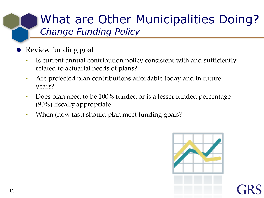#### What are Other Municipalities Doing? *Change Funding Policy*

- Review funding goal
	- Is current annual contribution policy consistent with and sufficiently related to actuarial needs of plans?
	- Are projected plan contributions affordable today and in future years?
	- Does plan need to be 100% funded or is a lesser funded percentage (90%) fiscally appropriate
	- When (how fast) should plan meet funding goals?

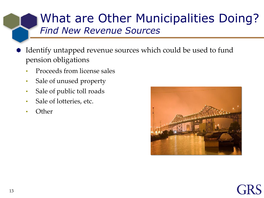#### What are Other Municipalities Doing? *Find New Revenue Sources*

- Identify untapped revenue sources which could be used to fund pension obligations
	- Proceeds from license sales
	- Sale of unused property
	- Sale of public toll roads
	- Sale of lotteries, etc.
	- Other

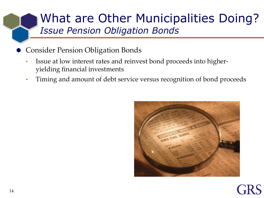#### What are Other Municipalities Doing? *Issue Pension Obligation Bonds*

- Consider Pension Obligation Bonds
	- Issue at low interest rates and reinvest bond proceeds into higheryielding financial investments
	- Timing and amount of debt service versus recognition of bond proceeds

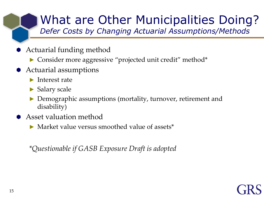## What are Other Municipalities Doing?

*Defer Costs by Changing Actuarial Assumptions/Methods*

- Actuarial funding method
	- ► Consider more aggressive "projected unit credit" method\*
- Actuarial assumptions
	- ► Interest rate
	- ► Salary scale
	- Demographic assumptions (mortality, turnover, retirement and disability)
- Asset valuation method
	- Market value versus smoothed value of assets\*

*\*Questionable if GASB Exposure Draft is adopted*